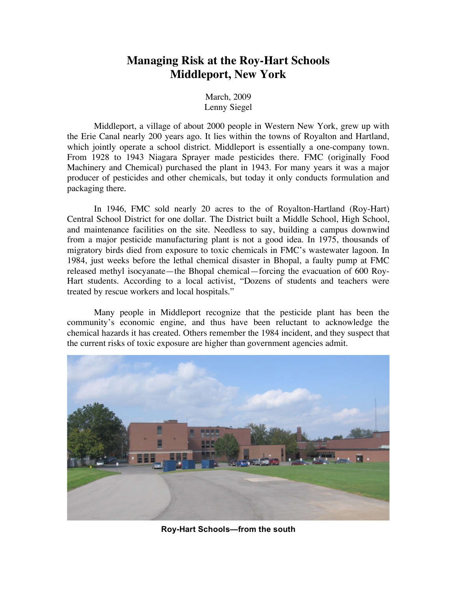## **Managing Risk at the Roy-Hart Schools Middleport, New York**

March, 2009 Lenny Siegel

Middleport, a village of about 2000 people in Western New York, grew up with the Erie Canal nearly 200 years ago. It lies within the towns of Royalton and Hartland, which jointly operate a school district. Middleport is essentially a one-company town. From 1928 to 1943 Niagara Sprayer made pesticides there. FMC (originally Food Machinery and Chemical) purchased the plant in 1943. For many years it was a major producer of pesticides and other chemicals, but today it only conducts formulation and packaging there.

In 1946, FMC sold nearly 20 acres to the of Royalton-Hartland (Roy-Hart) Central School District for one dollar. The District built a Middle School, High School, and maintenance facilities on the site. Needless to say, building a campus downwind from a major pesticide manufacturing plant is not a good idea. In 1975, thousands of migratory birds died from exposure to toxic chemicals in FMC's wastewater lagoon. In 1984, just weeks before the lethal chemical disaster in Bhopal, a faulty pump at FMC released methyl isocyanate—the Bhopal chemical—forcing the evacuation of 600 Roy-Hart students. According to a local activist, "Dozens of students and teachers were treated by rescue workers and local hospitals."

Many people in Middleport recognize that the pesticide plant has been the community's economic engine, and thus have been reluctant to acknowledge the chemical hazards it has created. Others remember the 1984 incident, and they suspect that the current risks of toxic exposure are higher than government agencies admit.



**Roy-Hart Schools—from the south**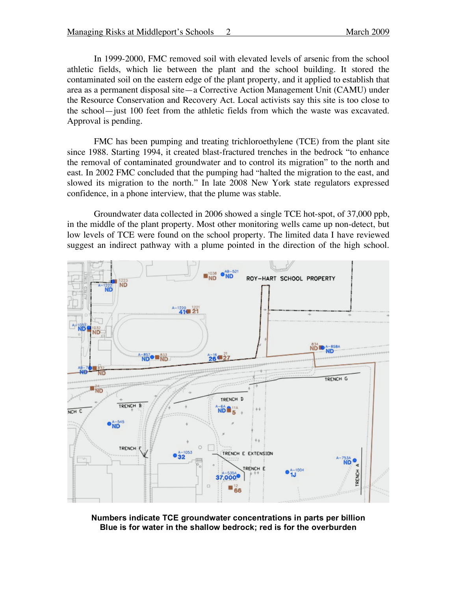In 1999-2000, FMC removed soil with elevated levels of arsenic from the school athletic fields, which lie between the plant and the school building. It stored the contaminated soil on the eastern edge of the plant property, and it applied to establish that area as a permanent disposal site—a Corrective Action Management Unit (CAMU) under the Resource Conservation and Recovery Act. Local activists say this site is too close to the school—just 100 feet from the athletic fields from which the waste was excavated. Approval is pending.

FMC has been pumping and treating trichloroethylene (TCE) from the plant site since 1988. Starting 1994, it created blast-fractured trenches in the bedrock "to enhance the removal of contaminated groundwater and to control its migration" to the north and east. In 2002 FMC concluded that the pumping had "halted the migration to the east, and slowed its migration to the north." In late 2008 New York state regulators expressed confidence, in a phone interview, that the plume was stable.

Groundwater data collected in 2006 showed a single TCE hot-spot, of 37,000 ppb, in the middle of the plant property. Most other monitoring wells came up non-detect, but low levels of TCE were found on the school property. The limited data I have reviewed suggest an indirect pathway with a plume pointed in the direction of the high school.



**Numbers indicate TCE groundwater concentrations in parts per billion Blue is for water in the shallow bedrock; red is for the overburden**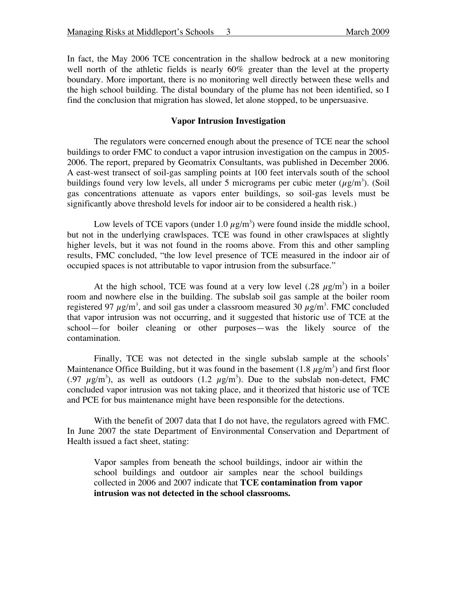In fact, the May 2006 TCE concentration in the shallow bedrock at a new monitoring well north of the athletic fields is nearly 60% greater than the level at the property boundary. More important, there is no monitoring well directly between these wells and the high school building. The distal boundary of the plume has not been identified, so I find the conclusion that migration has slowed, let alone stopped, to be unpersuasive.

## **Vapor Intrusion Investigation**

The regulators were concerned enough about the presence of TCE near the school buildings to order FMC to conduct a vapor intrusion investigation on the campus in 2005- 2006. The report, prepared by Geomatrix Consultants, was published in December 2006. A east-west transect of soil-gas sampling points at 100 feet intervals south of the school buildings found very low levels, all under 5 micrograms per cubic meter  $(\mu g/m^3)$ . (Soil gas concentrations attenuate as vapors enter buildings, so soil-gas levels must be significantly above threshold levels for indoor air to be considered a health risk.)

Low levels of TCE vapors (under 1.0  $\mu$ g/m<sup>3</sup>) were found inside the middle school, but not in the underlying crawlspaces. TCE was found in other crawlspaces at slightly higher levels, but it was not found in the rooms above. From this and other sampling results, FMC concluded, "the low level presence of TCE measured in the indoor air of occupied spaces is not attributable to vapor intrusion from the subsurface."

At the high school, TCE was found at a very low level (.28  $\mu$ g/m<sup>3</sup>) in a boiler room and nowhere else in the building. The subslab soil gas sample at the boiler room registered 97  $\mu$ g/m<sup>3</sup>, and soil gas under a classroom measured 30  $\mu$ g/m<sup>3</sup>. FMC concluded that vapor intrusion was not occurring, and it suggested that historic use of TCE at the school—for boiler cleaning or other purposes—was the likely source of the contamination.

Finally, TCE was not detected in the single subslab sample at the schools' Maintenance Office Building, but it was found in the basement (1.8  $\mu$ g/m<sup>3</sup>) and first floor (.97  $\mu$ g/m<sup>3</sup>), as well as outdoors (1.2  $\mu$ g/m<sup>3</sup>). Due to the subslab non-detect, FMC concluded vapor intrusion was not taking place, and it theorized that historic use of TCE and PCE for bus maintenance might have been responsible for the detections.

With the benefit of 2007 data that I do not have, the regulators agreed with FMC. In June 2007 the state Department of Environmental Conservation and Department of Health issued a fact sheet, stating:

Vapor samples from beneath the school buildings, indoor air within the school buildings and outdoor air samples near the school buildings collected in 2006 and 2007 indicate that **TCE contamination from vapor intrusion was not detected in the school classrooms.**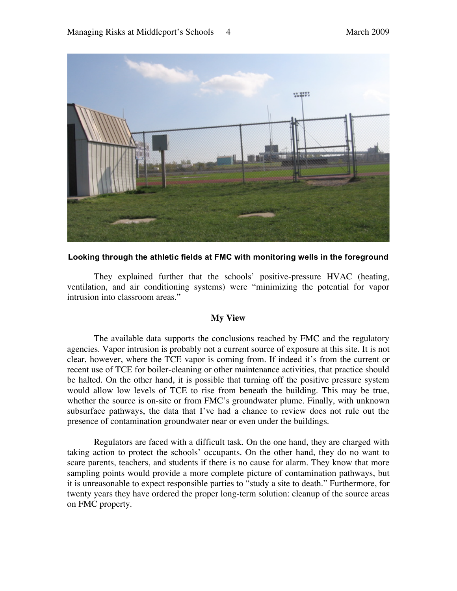

**Looking through the athletic fields at FMC with monitoring wells in the foreground**

They explained further that the schools' positive-pressure HVAC (heating, ventilation, and air conditioning systems) were "minimizing the potential for vapor intrusion into classroom areas."

## **My View**

The available data supports the conclusions reached by FMC and the regulatory agencies. Vapor intrusion is probably not a current source of exposure at this site. It is not clear, however, where the TCE vapor is coming from. If indeed it's from the current or recent use of TCE for boiler-cleaning or other maintenance activities, that practice should be halted. On the other hand, it is possible that turning off the positive pressure system would allow low levels of TCE to rise from beneath the building. This may be true, whether the source is on-site or from FMC's groundwater plume. Finally, with unknown subsurface pathways, the data that I've had a chance to review does not rule out the presence of contamination groundwater near or even under the buildings.

Regulators are faced with a difficult task. On the one hand, they are charged with taking action to protect the schools' occupants. On the other hand, they do no want to scare parents, teachers, and students if there is no cause for alarm. They know that more sampling points would provide a more complete picture of contamination pathways, but it is unreasonable to expect responsible parties to "study a site to death." Furthermore, for twenty years they have ordered the proper long-term solution: cleanup of the source areas on FMC property.